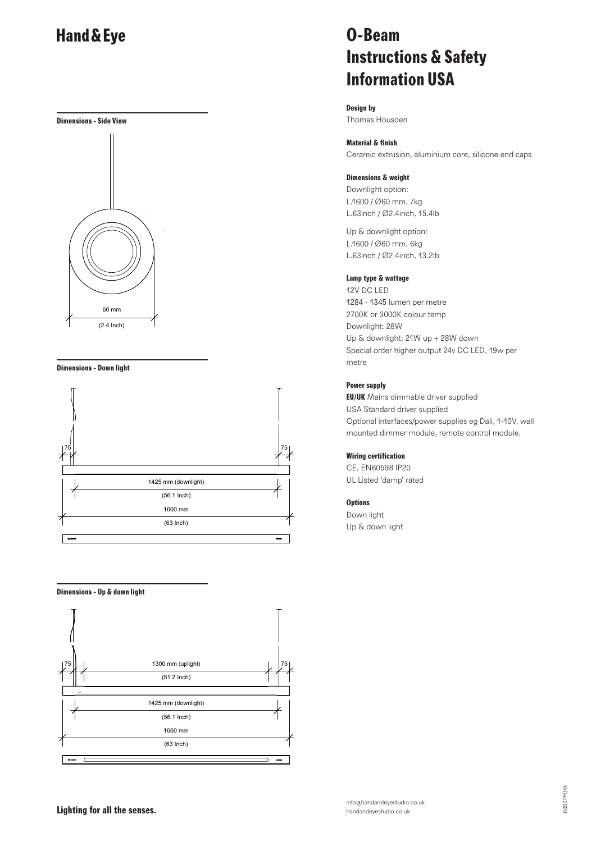



#### **Dimensions - Down light**



#### **Dimensions - Up & down light**



# **O-Beam Instructions & Safety Information USA**

**Design by** Thomas Housden

#### **Material & finish**

Ceramic extrusion, aluminium core, silicone end caps

#### **Dimensions & weight**

Downlight option: L.1600 / Ø60 mm, 7kg L.63inch / Ø2.4inch, 15.4lb

Up & downlight option: L.1600 / Ø60 mm, 6kg L.63inch / Ø2.4inch, 13.2lb

#### **Lamp type & wattage**

12V DC LED 1284 - 1345 lumen per metre 2700K or 3000K colour temp Downlight: 28W Up & downlight: 21W up + 28W down Special order higher output 24v DC LED, 19w per metre

### **Power supply**

**EU/UK** Mains dimmable driver supplied USA Standard driver supplied Optional interfaces/power supplies eg Dali, 1-10V, wall mounted dimmer module, remote control module.

### **Wiring certification**

CE, EN60598 IP20 UL Listed 'damp' rated

#### **Options**

Down light Up & down light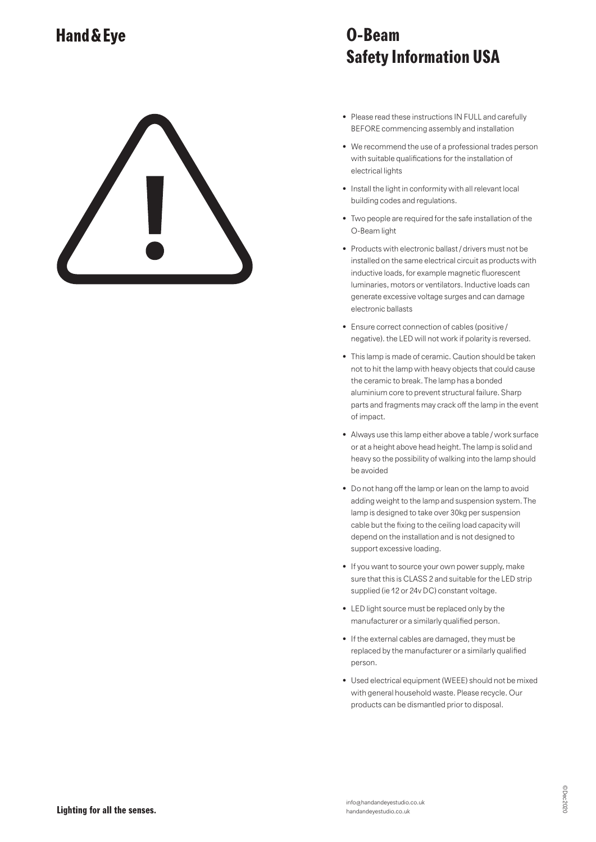# **O-Beam Safety Information USA**

- Please read these instructions IN FULL and carefully BEFORE commencing assembly and installation
- We recommend the use of a professional trades person with suitable qualifications for the installation of electrical lights
- Install the light in conformity with all relevant local building codes and regulations.
- Two people are required for the safe installation of the O-Beam light
- Products with electronic ballast / drivers must not be installed on the same electrical circuit as products with inductive loads, for example magnetic fluorescent luminaries, motors or ventilators. Inductive loads can generate excessive voltage surges and can damage electronic ballasts
- Ensure correct connection of cables (positive / negative). the LED will not work if polarity is reversed.
- This lamp is made of ceramic. Caution should be taken not to hit the lamp with heavy objects that could cause the ceramic to break. The lamp has a bonded aluminium core to prevent structural failure. Sharp parts and fragments may crack off the lamp in the event of impact.
- Always use this lamp either above a table / work surface or at a height above head height. The lamp is solid and heavy so the possibility of walking into the lamp should be avoided
- Do not hang off the lamp or lean on the lamp to avoid adding weight to the lamp and suspension system. The lamp is designed to take over 30kg per suspension cable but the fixing to the ceiling load capacity will depend on the installation and is not designed to support excessive loading.
- If you want to source your own power supply, make sure that this is CLASS 2 and suitable for the LED strip supplied (ie 12 or 24v DC) constant voltage.
- LED light source must be replaced only by the manufacturer or a similarly qualified person.
- If the external cables are damaged, they must be replaced by the manufacturer or a similarly qualified person.
- Used electrical equipment (WEEE) should not be mixed with general household waste. Please recycle. Our products can be dismantled prior to disposal.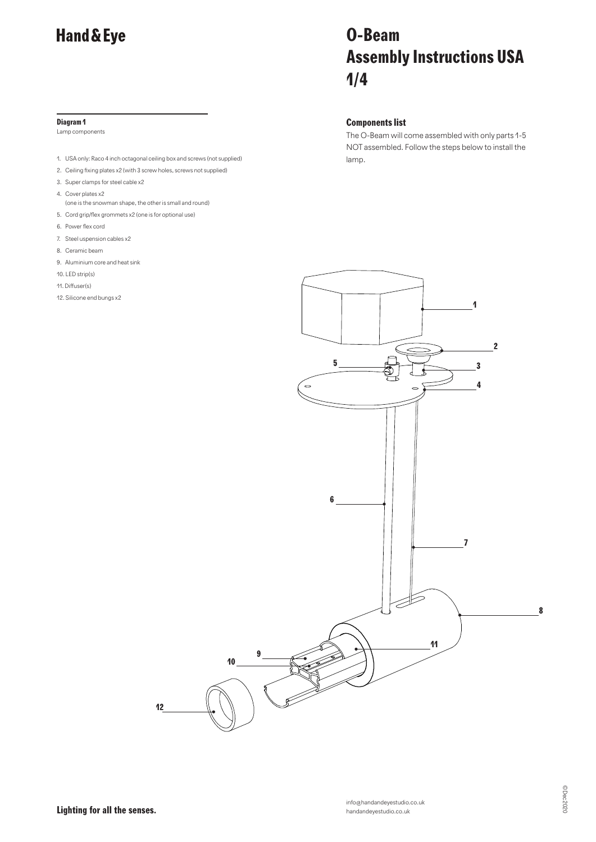#### **Diagram 1**

Lamp components

- 1. USA only: Raco 4 inch octagonal ceiling box and screws (not supplied) lamp.
- 2. Ceiling fixing plates x2 (with 3 screw holes, screws not supplied)
- 3. Super clamps for steel cable x2
- 4. Cover plates x2
- (one is the snowman shape, the other is small and round)
- 5. Cord grip/flex grommets x2 (one is for optional use)
- 6. Power flex cord
- 7. Steel uspension cables x2
- 8. Ceramic beam
- 9. Aluminium core and heat sink
- 10. LED strip(s)
- 11. Diffuser(s)
- 12. Silicone end bungs x2

# **O-Beam Assembly Instructions USA 1/4**

### **Components list**

The O-Beam will come assembled with only parts 1-5 NOT assembled. Follow the steps below to install the

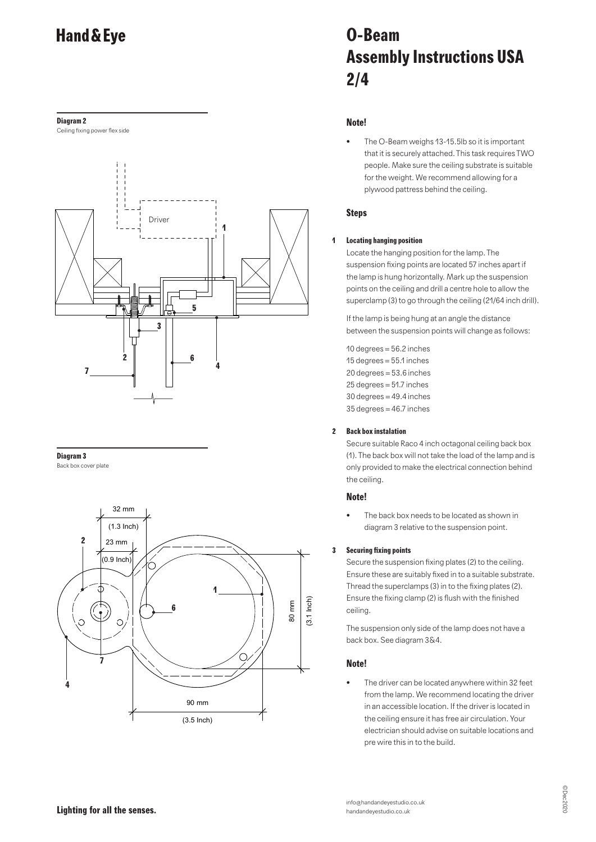#### **Diagram 2**

Ceiling fixing power flex side



#### **Diagram 3**

Back box cover plate



# **O-Beam Assembly Instructions USA 2/4**

### **Note!**

• The O-Beam weighs 13-15.5lb so it is important that it is securely attached. This task requires TWO people. Make sure the ceiling substrate is suitable for the weight. We recommend allowing for a plywood pattress behind the ceiling.

# **Steps**

### **1 Locating hanging position**

Locate the hanging position for the lamp. The suspension fixing points are located 57 inches apart if the lamp is hung horizontally. Mark up the suspension points on the ceiling and drill a centre hole to allow the superclamp (3) to go through the ceiling (21/64 inch drill).

If the lamp is being hung at an angle the distance between the suspension points will change as follows:

10 degrees = 56.2 inches 15 degrees = 55.1 inches 20 degrees = 53.6 inches  $25$  degrees =  $51.7$  inches  $30$  degrees = 49.4 inches 35 degrees = 46.7 inches

#### **2 Back box instalation**

Secure suitable Raco 4 inch octagonal ceiling back box (1). The back box will not take the load of the lamp and is only provided to make the electrical connection behind the ceiling.

### **Note!**

The back box needs to be located as shown in diagram 3 relative to the suspension point.

### **3 Securing fixing points**

Secure the suspension fixing plates (2) to the ceiling. Ensure these are suitably fixed in to a suitable substrate. Thread the superclamps (3) in to the fixing plates (2). Ensure the fixing clamp (2) is flush with the finished ceiling.

The suspension only side of the lamp does not have a back box. See diagram 3&4.

# **Note!**

The driver can be located anywhere within 32 feet from the lamp. We recommend locating the driver in an accessible location. If the driver is located in the ceiling ensure it has free air circulation. Your electrician should advise on suitable locations and pre wire this in to the build.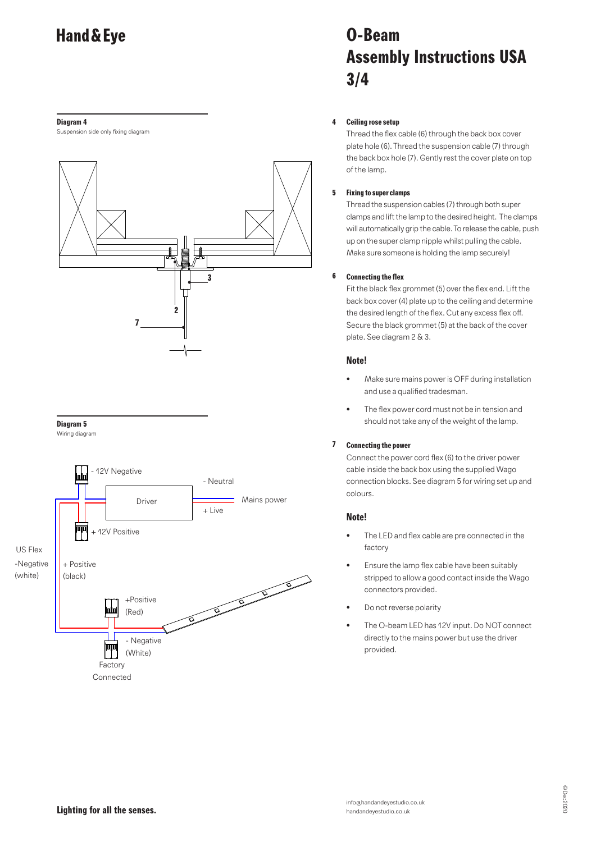#### **Diagram 4**

Suspension side only fixing diagram





Wiring diagram



# **O-Beam Assembly Instructions USA 3/4**

# **4 Ceiling rose setup**

Thread the flex cable (6) through the back box cover plate hole (6). Thread the suspension cable (7) through the back box hole (7). Gently rest the cover plate on top of the lamp.

# **5 Fixing to super clamps**

Thread the suspension cables (7) through both super clamps and lift the lamp to the desired height. The clamps will automatically grip the cable. To release the cable, push up on the super clamp nipple whilst pulling the cable. Make sure someone is holding the lamp securely!

### **6 Connecting the flex**

Fit the black flex grommet (5) over the flex end. Lift the back box cover (4) plate up to the ceiling and determine the desired length of the flex. Cut any excess flex off. Secure the black grommet (5) at the back of the cover plate. See diagram 2 & 3.

### **Note!**

- Make sure mains power is OFF during installation and use a qualified tradesman.
- The flex power cord must not be in tension and should not take any of the weight of the lamp.

# **7 Connecting the power**

Connect the power cord flex (6) to the driver power cable inside the back box using the supplied Wago connection blocks. See diagram 5 for wiring set up and colours.

### **Note!**

- The LED and flex cable are pre connected in the factory
- Ensure the lamp flex cable have been suitably stripped to allow a good contact inside the Wago connectors provided.
- Do not reverse polarity
- The O-beam LED has 12V input. Do NOT connect directly to the mains power but use the driver provided.